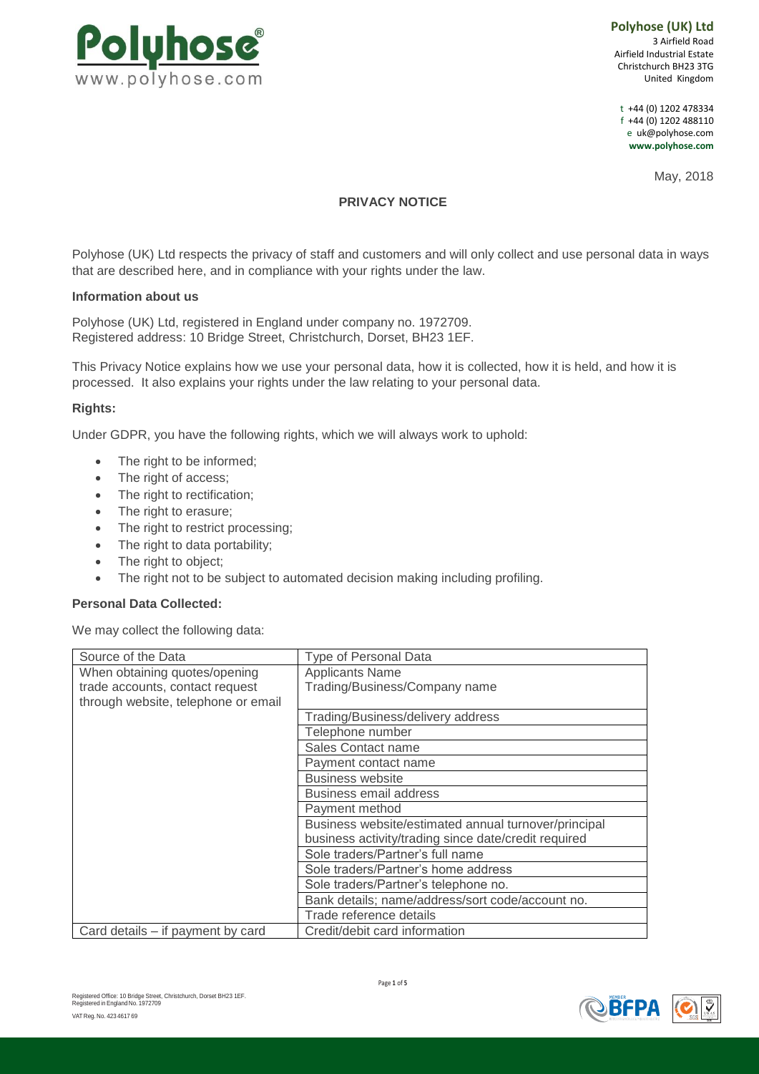

**Polyhose (UK) Ltd** 3 Airfield Road Airfield Industrial Estate Christchurch BH23 3TG United Kingdom

t +44 (0) 1202 478334 f +44 (0) 1202 488110 e [uk@polyhose.com](mailto:uk@polyhose.com) **[www.polyhose.com](http://www.polyhose.com/)**

May, 2018

# **PRIVACY NOTICE**

Polyhose (UK) Ltd respects the privacy of staff and customers and will only collect and use personal data in ways that are described here, and in compliance with your rights under the law.

#### **Information about us**

Polyhose (UK) Ltd, registered in England under company no. 1972709. Registered address: 10 Bridge Street, Christchurch, Dorset, BH23 1EF.

This Privacy Notice explains how we use your personal data, how it is collected, how it is held, and how it is processed. It also explains your rights under the law relating to your personal data.

# **Rights:**

Under GDPR, you have the following rights, which we will always work to uphold:

- The right to be informed;
- The right of access;
- The right to rectification;
- The right to erasure:
- The right to restrict processing;
- The right to data portability;
- The right to object;
- The right not to be subject to automated decision making including profiling.

#### **Personal Data Collected:**

We may collect the following data:

| Source of the Data                  | Type of Personal Data                                |
|-------------------------------------|------------------------------------------------------|
| When obtaining quotes/opening       | <b>Applicants Name</b>                               |
| trade accounts, contact request     | Trading/Business/Company name                        |
| through website, telephone or email |                                                      |
|                                     | Trading/Business/delivery address                    |
|                                     | Telephone number                                     |
|                                     | Sales Contact name                                   |
|                                     | Payment contact name                                 |
|                                     | <b>Business website</b>                              |
|                                     | <b>Business email address</b>                        |
|                                     | Payment method                                       |
|                                     | Business website/estimated annual turnover/principal |
|                                     | business activity/trading since date/credit required |
|                                     | Sole traders/Partner's full name                     |
|                                     | Sole traders/Partner's home address                  |
|                                     | Sole traders/Partner's telephone no.                 |
|                                     | Bank details; name/address/sort code/account no.     |
|                                     | Trade reference details                              |
| Card details - if payment by card   | Credit/debit card information                        |

Page **1** of **5**

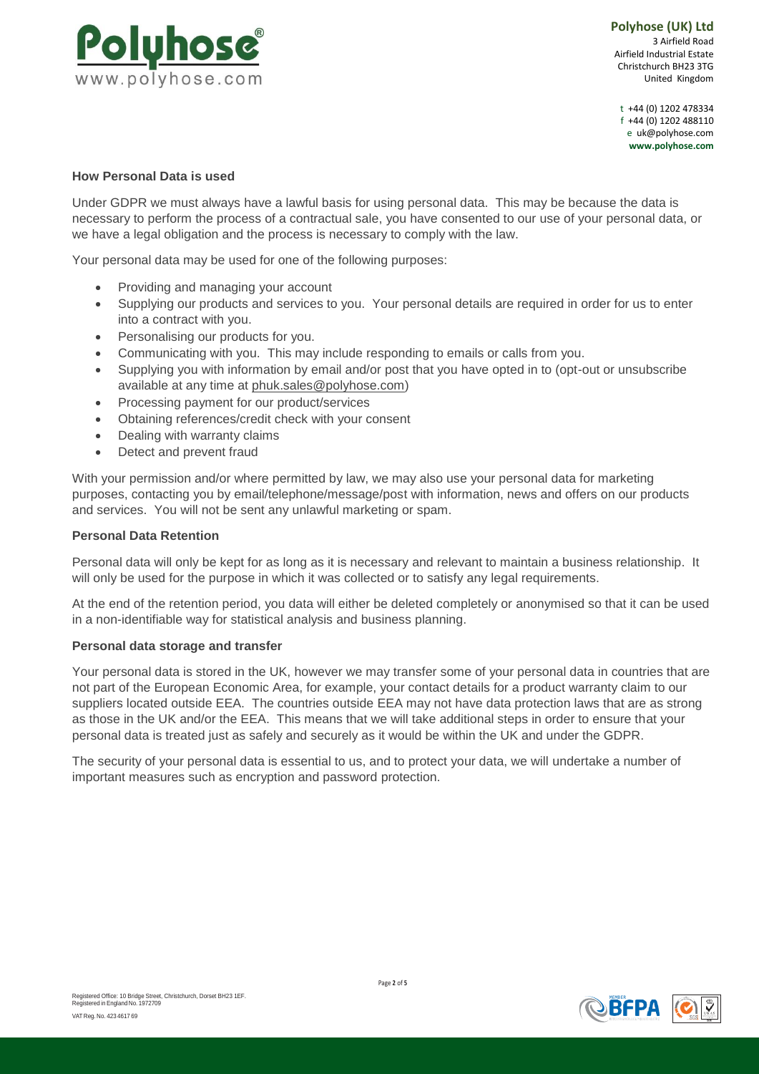

t +44 (0) 1202 478334 f +44 (0) 1202 488110 e [uk@polyhose.com](mailto:uk@polyhose.com) **[www.polyhose.com](http://www.polyhose.com/)**

# **How Personal Data is used**

Under GDPR we must always have a lawful basis for using personal data. This may be because the data is necessary to perform the process of a contractual sale, you have consented to our use of your personal data, or we have a legal obligation and the process is necessary to comply with the law.

Your personal data may be used for one of the following purposes:

- Providing and managing your account
- Supplying our products and services to you. Your personal details are required in order for us to enter into a contract with you.
- Personalising our products for you.
- Communicating with you. This may include responding to emails or calls from you.
- Supplying you with information by email and/or post that you have opted in to (opt-out or unsubscribe available at any time at [phuk.sales@polyhose.com\)](mailto:phuk.sales@polyhose.com)
- Processing payment for our product/services
- Obtaining references/credit check with your consent
- Dealing with warranty claims
- Detect and prevent fraud

With your permission and/or where permitted by law, we may also use your personal data for marketing purposes, contacting you by email/telephone/message/post with information, news and offers on our products and services. You will not be sent any unlawful marketing or spam.

### **Personal Data Retention**

Personal data will only be kept for as long as it is necessary and relevant to maintain a business relationship. It will only be used for the purpose in which it was collected or to satisfy any legal requirements.

At the end of the retention period, you data will either be deleted completely or anonymised so that it can be used in a non-identifiable way for statistical analysis and business planning.

# **Personal data storage and transfer**

Your personal data is stored in the UK, however we may transfer some of your personal data in countries that are not part of the European Economic Area, for example, your contact details for a product warranty claim to our suppliers located outside EEA. The countries outside EEA may not have data protection laws that are as strong as those in the UK and/or the EEA. This means that we will take additional steps in order to ensure that your personal data is treated just as safely and securely as it would be within the UK and under the GDPR.

The security of your personal data is essential to us, and to protect your data, we will undertake a number of important measures such as encryption and password protection.



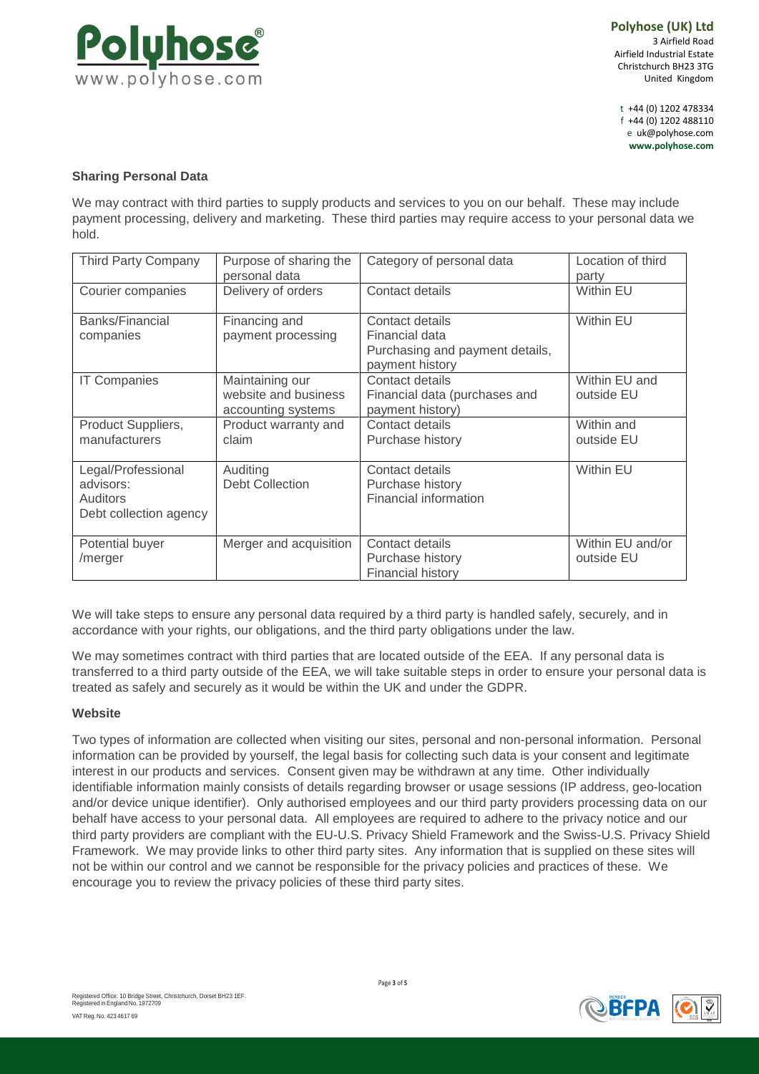

t +44 (0) 1202 478334 f +44 (0) 1202 488110 e [uk@polyhose.com](mailto:uk@polyhose.com) **[www.polyhose.com](http://www.polyhose.com/)**

# **Sharing Personal Data**

We may contract with third parties to supply products and services to you on our behalf. These may include payment processing, delivery and marketing. These third parties may require access to your personal data we hold.

| <b>Third Party Company</b>                                            | Purpose of sharing the<br>personal data                       | Category of personal data                                                               | Location of third<br>party     |
|-----------------------------------------------------------------------|---------------------------------------------------------------|-----------------------------------------------------------------------------------------|--------------------------------|
| Courier companies                                                     | Delivery of orders                                            | Contact details                                                                         | Within EU                      |
| Banks/Financial<br>companies                                          | Financing and<br>payment processing                           | Contact details<br>Financial data<br>Purchasing and payment details,<br>payment history | Within EU                      |
| <b>IT Companies</b>                                                   | Maintaining our<br>website and business<br>accounting systems | Contact details<br>Financial data (purchases and<br>payment history)                    | Within EU and<br>outside EU    |
| Product Suppliers,<br>manufacturers                                   | Product warranty and<br>claim                                 | Contact details<br>Purchase history                                                     | Within and<br>outside EU       |
| Legal/Professional<br>advisors:<br>Auditors<br>Debt collection agency | Auditing<br><b>Debt Collection</b>                            | Contact details<br>Purchase history<br>Financial information                            | <b>Within EU</b>               |
| Potential buyer<br>/merger                                            | Merger and acquisition                                        | Contact details<br>Purchase history<br><b>Financial history</b>                         | Within EU and/or<br>outside EU |

We will take steps to ensure any personal data required by a third party is handled safely, securely, and in accordance with your rights, our obligations, and the third party obligations under the law.

We may sometimes contract with third parties that are located outside of the EEA. If any personal data is transferred to a third party outside of the EEA, we will take suitable steps in order to ensure your personal data is treated as safely and securely as it would be within the UK and under the GDPR.

# **Website**

Two types of information are collected when visiting our sites, personal and non-personal information. Personal information can be provided by yourself, the legal basis for collecting such data is your consent and legitimate interest in our products and services. Consent given may be withdrawn at any time. Other individually identifiable information mainly consists of details regarding browser or usage sessions (IP address, geo-location and/or device unique identifier). Only authorised employees and our third party providers processing data on our behalf have access to your personal data. All employees are required to adhere to the privacy notice and our third party providers are compliant with the EU-U.S. Privacy Shield Framework and the Swiss-U.S. Privacy Shield Framework. We may provide links to other third party sites. Any information that is supplied on these sites will not be within our control and we cannot be responsible for the privacy policies and practices of these. We encourage you to review the privacy policies of these third party sites.



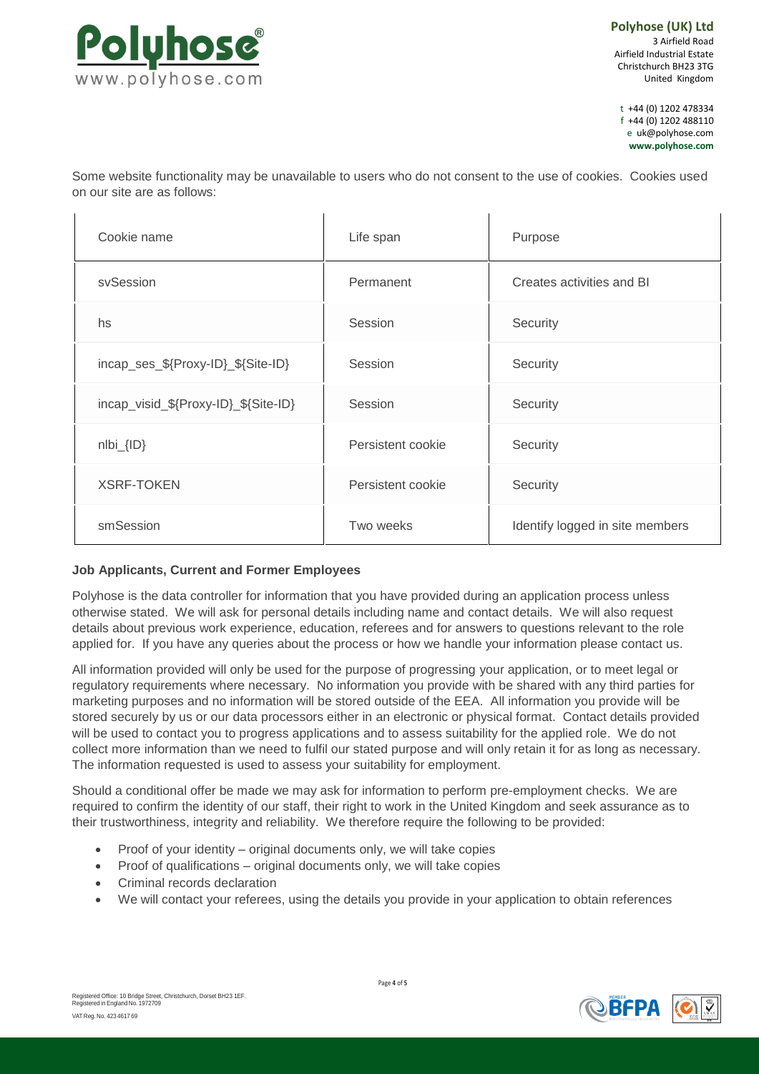

t +44 (0) 1202 478334 f +44 (0) 1202 488110 e [uk@polyhose.com](mailto:uk@polyhose.com) **[www.polyhose.com](http://www.polyhose.com/)**

Some website functionality may be unavailable to users who do not consent to the use of cookies. Cookies used on our site are as follows:

| Cookie name                          | Life span         | Purpose                         |
|--------------------------------------|-------------------|---------------------------------|
| sySession                            | Permanent         | Creates activities and BI       |
| hs                                   | Session           | Security                        |
| incap_ses_\${Proxy-ID}_\${Site-ID}   | Session           | Security                        |
| incap_visid_\${Proxy-ID}_\${Site-ID} | Session           | Security                        |
| $nIbi_{IID}$                         | Persistent cookie | Security                        |
| <b>XSRF-TOKEN</b>                    | Persistent cookie | Security                        |
| smSession                            | Two weeks         | Identify logged in site members |

# **Job Applicants, Current and Former Employees**

Polyhose is the data controller for information that you have provided during an application process unless otherwise stated. We will ask for personal details including name and contact details. We will also request details about previous work experience, education, referees and for answers to questions relevant to the role applied for. If you have any queries about the process or how we handle your information please contact us.

All information provided will only be used for the purpose of progressing your application, or to meet legal or regulatory requirements where necessary. No information you provide with be shared with any third parties for marketing purposes and no information will be stored outside of the EEA. All information you provide will be stored securely by us or our data processors either in an electronic or physical format. Contact details provided will be used to contact you to progress applications and to assess suitability for the applied role. We do not collect more information than we need to fulfil our stated purpose and will only retain it for as long as necessary. The information requested is used to assess your suitability for employment.

Should a conditional offer be made we may ask for information to perform pre-employment checks. We are required to confirm the identity of our staff, their right to work in the United Kingdom and seek assurance as to their trustworthiness, integrity and reliability. We therefore require the following to be provided:

- Proof of your identity original documents only, we will take copies
- Proof of qualifications original documents only, we will take copies
- Criminal records declaration
- We will contact your referees, using the details you provide in your application to obtain references

Page **4** of **5**